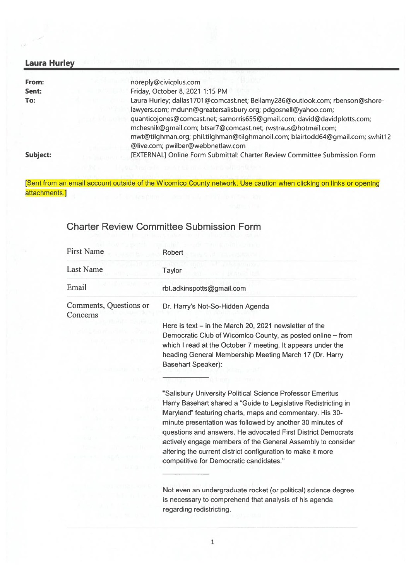## Laura Hurley

| From:           | noreply@civicplus.com                                                           |
|-----------------|---------------------------------------------------------------------------------|
| Sent:           | Friday, October 8, 2021 1:15 PM                                                 |
| To:             | Laura Hurley; dallas1701@comcast.net; Bellamy286@outlook.com; rbenson@shore-    |
|                 | lawyers.com; mdunn@greatersalisbury.org; pdgosnell@yahoo.com;                   |
|                 | quanticojones@comcast.net; samorris655@gmail.com; david@davidplotts.com;        |
|                 | mchesnik@gmail.com; btsar7@comcast.net; rwstraus@hotmail.com;                   |
|                 | mwt@tilghman.org; phil.tilghman@tilghmanoil.com; blairtodd64@gmail.com; swhit12 |
|                 | @live.com; pwilber@webbnetlaw.com                                               |
| <b>Subject:</b> | [EXTERNAL] Online Form Submittal: Charter Review Committee Submission Form      |

[Sent from an email account outside of the Wicomico County network. Use caution when clicking on links or opening attachments.]

## Charter Review Committee Submission Form

| <b>First Name</b>                  | Robert                                                                                                                                                                                                                                                                                                                                                         |
|------------------------------------|----------------------------------------------------------------------------------------------------------------------------------------------------------------------------------------------------------------------------------------------------------------------------------------------------------------------------------------------------------------|
| <b>Last Name</b>                   | <b>Taylor</b>                                                                                                                                                                                                                                                                                                                                                  |
| Email                              | rbt.adkinspotts@gmail.com                                                                                                                                                                                                                                                                                                                                      |
| Comments, Questions or<br>Concerns | Dr. Harry's Not-So-Hidden Agenda                                                                                                                                                                                                                                                                                                                               |
|                                    | Here is text $-$ in the March 20, 2021 newsletter of the                                                                                                                                                                                                                                                                                                       |
|                                    | Democratic Club of Wicomico County, as posted online - from<br>which I read at the October 7 meeting. It appears under the<br>heading General Membership Meeting March 17 (Dr. Harry<br><b>Basehart Speaker):</b>                                                                                                                                              |
|                                    |                                                                                                                                                                                                                                                                                                                                                                |
|                                    | "Salisbury University Political Science Professor Emeritus                                                                                                                                                                                                                                                                                                     |
|                                    | Harry Basehart shared a "Guide to Legislative Redistricting in                                                                                                                                                                                                                                                                                                 |
|                                    | Maryland" featuring charts, maps and commentary. His 30-<br>minute presentation was followed by another 30 minutes of<br>questions and answers. He advocated First District Democrats<br>actively engage members of the General Assembly to consider<br>altering the current district configuration to make it more<br>competitive for Democratic candidates." |
|                                    |                                                                                                                                                                                                                                                                                                                                                                |
|                                    | Not even an undergraduate rocket (or political) science degree                                                                                                                                                                                                                                                                                                 |

is necessary to comprehend that analysis of his agenda regarding redistricting.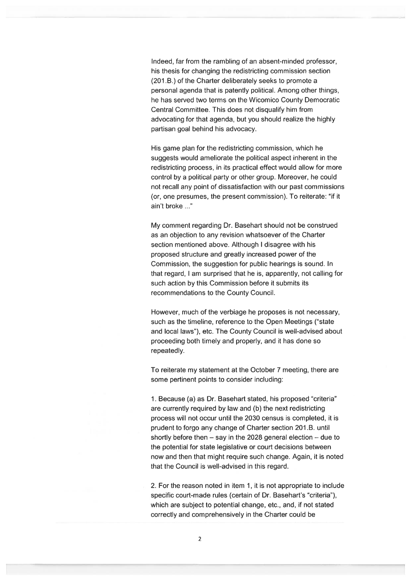Indeed, far from the rambling of an absent-minded professor, his thesis for changing the redistricting commission section (201 .B.) of the Charter deliberately seeks to promote <sup>a</sup> personal agenda that is patently political. Among other things, he has served two terms on the Wicomico County Democratic Central Committee. This does not disqualify him from advocating for that agenda, but you should realize the highly partisan goal behind his advocacy.

His game plan for the redistricting commission, which he suggests would ameliorate the political aspec<sup>t</sup> inherent in the redistricting process, in its practical effect would allow for more control by <sup>a</sup> political party or other group. Moreover, he could not recall any point of dissatisfaction with our pas<sup>t</sup> commissions (or, one presumes, the presen<sup>t</sup> commission). To reiterate: "if it ain't broke

My comment regarding Dr. Basehart should not be construed as an objection to any revision whatsoever of the Charter section mentioned above. Although I disagree with his proposed structure and greatly increased power of the Commission, the suggestion for public hearings is sound. In that regard, I am surprised that he is, apparently, not calling for such action by this Commission before it submits its recommendations to the County Council.

However, much of the verbiage he proposes is not necessary, such as the timeline, reference to the Open Meetings ("state and local laws"), etc. The County Council is well-advised about proceeding both timely and properly, and it has done so repeatedly.

To reiterate my statement at the October 7 meeting, there are some pertinent points to consider including:

1. Because (a) as Dr. Basehart stated, his proposed "criteria" are currently required by law and (b) the next redistricting process will not occur until the 2030 census is completed, it is prudent to forgo any change of Charter section 201 .B. until shortly before then — say in the 2028 general election — due to the potential for state legislative or court decisions between now and then that might require such change. Again, it is noted that the Council is well-advised in this regard.

2. For the reason noted in item 1, it is not appropriate to include specific court-made rules (certain of Dr. Basehart's "criteria"), which are subject to potential change, etc., and, if not stated correctly and comprehensively in the Charter could be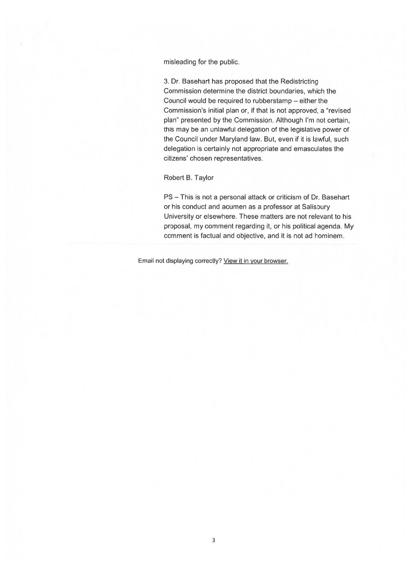misleading for the public.

3. Dr. Basehart has proposed that the Redistricting Commission determine the district boundaries, which the Council would be required to rubberstamp — either the Commission's initial plan or, if that is not approved, <sup>a</sup> "revised plan" presented by the Commission. Although I'm not certain, this may be an unlawful delegation of the legislative power of the Council under Maryland law. But, even if it is lawful, such delegation is certainly not appropriate and emasculates the citizens' chosen representatives.

Robert B. Taylor

PS — This is not <sup>a</sup> personal attack or criticism of Dr. Basehart or his conduct and acumen as <sup>a</sup> professor at Salisbury University or elsewhere. These matters are not relevant to his proposal, my comment regarding it, or his political agenda. My comment is factual and objective, and it is not ad hominem.

Email not displaying correctly? View it in your browser.